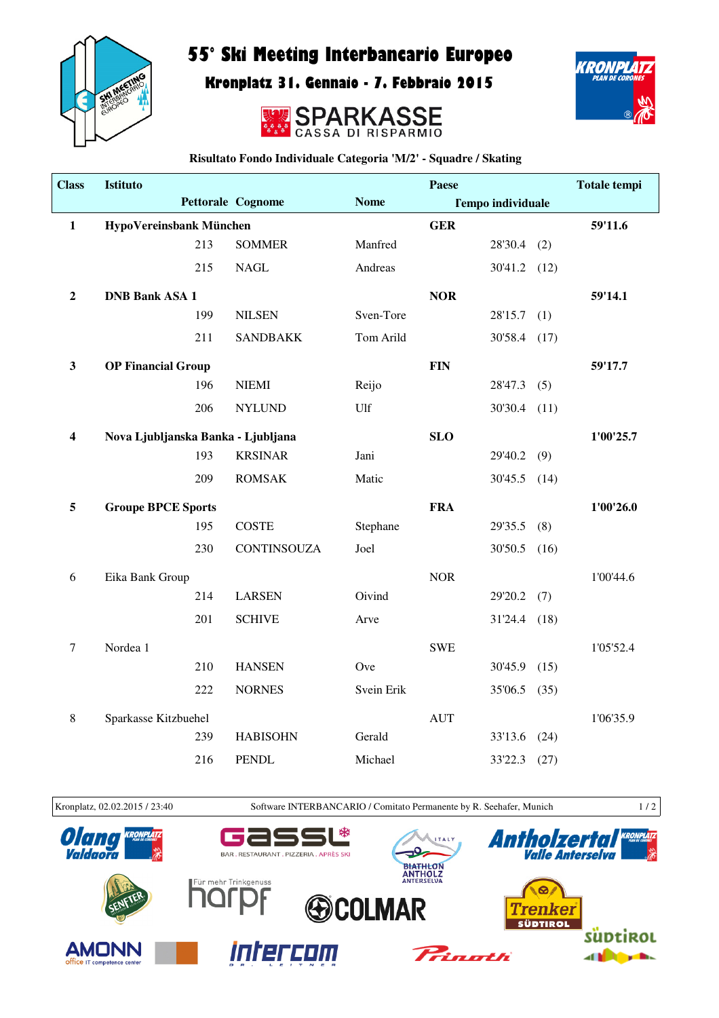

## 55° Ski Meeting Interbancario Europeo

Kronplatz 31. Gennaio - 7. Febbraio 2015





**Risultato Fondo Individuale Categoria 'M/2' - Squadre / Skating**

| <b>Class</b>            | <b>Istituto</b>                    |     |                          |             | Paese      |                          |           | <b>Totale tempi</b> |
|-------------------------|------------------------------------|-----|--------------------------|-------------|------------|--------------------------|-----------|---------------------|
|                         |                                    |     | <b>Pettorale Cognome</b> | <b>Nome</b> |            | <b>Tempo individuale</b> |           |                     |
| $\mathbf{1}$            | HypoVereinsbank München            |     |                          |             | <b>GER</b> |                          |           | 59'11.6             |
|                         |                                    | 213 | <b>SOMMER</b>            | Manfred     |            | 28'30.4                  | (2)       |                     |
|                         |                                    | 215 | <b>NAGL</b>              | Andreas     |            | $30'41.2$ (12)           |           |                     |
| $\mathbf 2$             | <b>DNB Bank ASA 1</b>              |     |                          |             | <b>NOR</b> |                          |           | 59'14.1             |
|                         |                                    | 199 | <b>NILSEN</b>            | Sven-Tore   |            | 28'15.7                  | (1)       |                     |
|                         |                                    | 211 | <b>SANDBAKK</b>          | Tom Arild   |            | 30'58.4                  | (17)      |                     |
| $\mathbf{3}$            | <b>OP Financial Group</b>          |     |                          |             | <b>FIN</b> |                          |           | 59'17.7             |
|                         |                                    | 196 | <b>NIEMI</b>             | Reijo       |            | 28'47.3                  | (5)       |                     |
|                         |                                    | 206 | <b>NYLUND</b>            | Ulf         |            | 30'30.4                  | (11)      |                     |
| $\overline{\mathbf{4}}$ | Nova Ljubljanska Banka - Ljubljana |     |                          |             | <b>SLO</b> |                          |           | 1'00'25.7           |
|                         |                                    | 193 | <b>KRSINAR</b>           | Jani        |            | 29'40.2                  | (9)       |                     |
|                         |                                    | 209 | <b>ROMSAK</b>            | Matic       |            | 30'45.5                  | (14)      |                     |
| 5                       | <b>Groupe BPCE Sports</b>          |     |                          |             | <b>FRA</b> |                          |           | 1'00'26.0           |
|                         |                                    | 195 | <b>COSTE</b>             | Stephane    |            | 29'35.5                  | (8)       |                     |
|                         |                                    | 230 | CONTINSOUZA              | Joel        |            | 30'50.5                  | (16)      |                     |
| 6                       | Eika Bank Group                    |     |                          |             | <b>NOR</b> |                          |           | 1'00'44.6           |
|                         |                                    | 214 | <b>LARSEN</b>            | Oivind      |            | 29'20.2                  | (7)       |                     |
|                         |                                    | 201 | <b>SCHIVE</b>            | Arve        |            | 31'24.4                  | (18)      |                     |
| $\boldsymbol{7}$        | Nordea 1                           |     |                          |             | <b>SWE</b> |                          |           | 1'05'52.4           |
|                         |                                    | 210 | <b>HANSEN</b>            | Ove         |            | 30'45.9                  | (15)      |                     |
|                         |                                    | 222 | <b>NORNES</b>            | Svein Erik  |            | 35'06.5                  | (35)      |                     |
| $\,8\,$                 | Sparkasse Kitzbuehel               |     |                          | <b>AUT</b>  |            |                          | 1'06'35.9 |                     |
|                         |                                    | 239 | <b>HABISOHN</b>          | Gerald      |            | 33'13.6                  | (24)      |                     |
|                         |                                    | 216 | <b>PENDL</b>             | Michael     |            | 33'22.3                  | (27)      |                     |



Kronplatz, 02.02.2015 / 23:40 Software INTERBANCARIO / Comitato Permanente by R. Seehafer, Munich 1 / 2